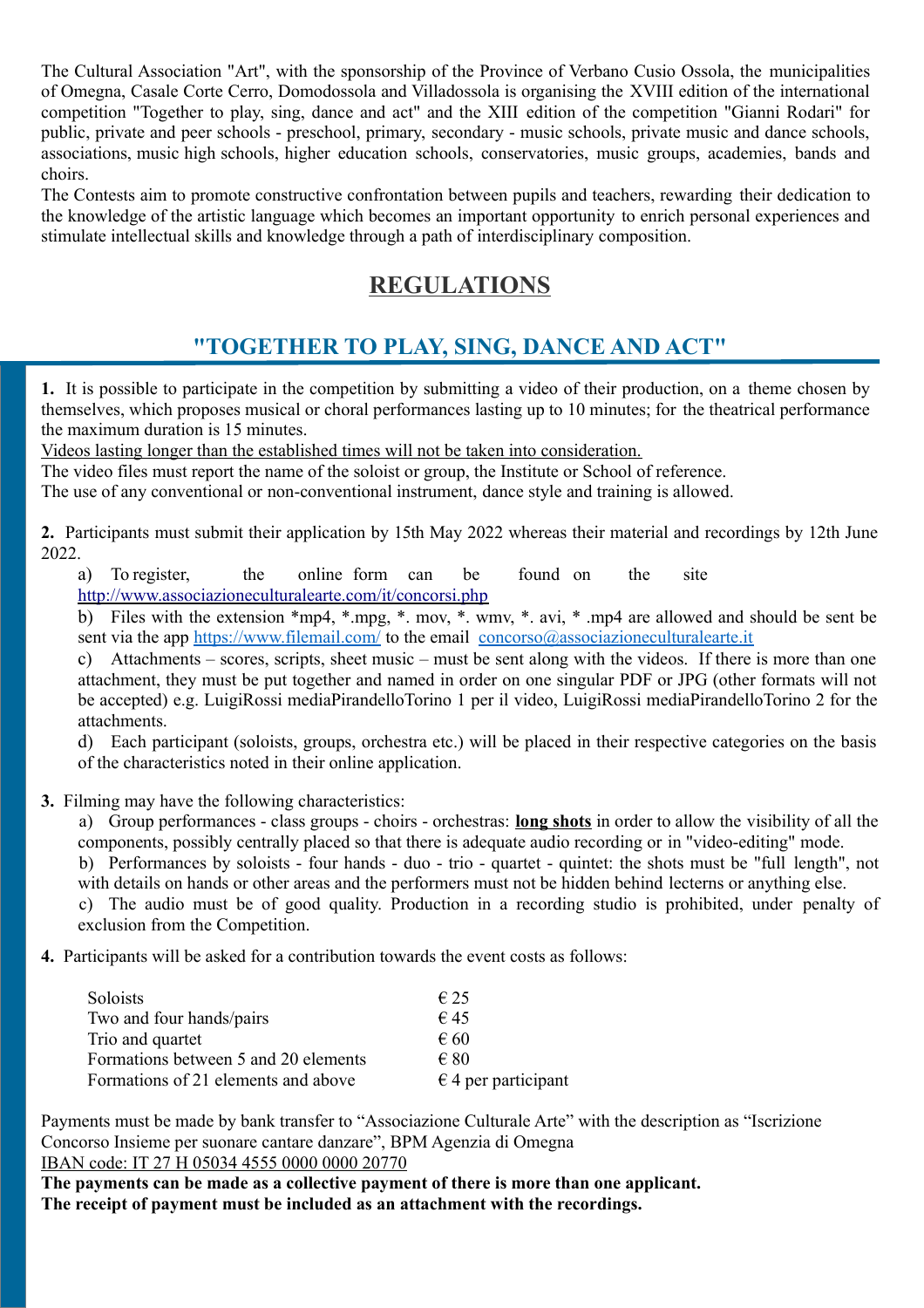The Cultural Association "Art", with the sponsorship of the Province of Verbano Cusio Ossola, the municipalities of Omegna, Casale Corte Cerro, Domodossola and Villadossola is organising the XVIII edition of the international competition "Together to play, sing, dance and act" and the XIII edition of the competition "Gianni Rodari" for public, private and peer schools - preschool, primary, secondary - music schools, private music and dance schools, associations, music high schools, higher education schools, conservatories, music groups, academies, bands and choirs.

The Contests aim to promote constructive confrontation between pupils and teachers, rewarding their dedication to the knowledge of the artistic language which becomes an important opportunity to enrich personal experiences and stimulate intellectual skills and knowledge through a path of interdisciplinary composition.

## **REGULATIONS**

# **"TOGETHER TO PLAY, SING, DANCE AND ACT"**

**1.** It is possible to participate in the competition by submitting a video of their production, on a theme chosen by themselves, which proposes musical or choral performances lasting up to 10 minutes; for the theatrical performance the maximum duration is 15 minutes.

Videos lasting longer than the established times will not be taken into consideration.

The video files must report the name of the soloist or group, the Institute or School of reference.

The use of any conventional or non-conventional instrument, dance style and training is allowed.

**2.** Participants must submit their application by 15th May 2022 whereas their material and recordings by 12th June 2022.

a) To register, the online form can be found on the site <http://www.associazioneculturalearte.com/it/concorsi.php>

b) Files with the extension \*mp4, \*.mpg, \*. mov, \*. wmv, \*. avi, \* .mp4 are allowed and should be sent be sent via the app <https://www.filemail.com/>to the email [concorso@associazioneculturalearte.it](mailto:concorso@associazioneculturalearte.it)

c) Attachments – scores, scripts, sheet music – must be sent along with the videos. If there is more than one attachment, they must be put together and named in order on one singular PDF or JPG (other formats will not be accepted) e.g. LuigiRossi mediaPirandelloTorino 1 per il video, LuigiRossi mediaPirandelloTorino 2 for the attachments.

d) Each participant (soloists, groups, orchestra etc.) will be placed in their respective categories on the basis of the characteristics noted in their online application.

**3.** Filming may have the following characteristics:

a) Group performances - class groups - choirs - orchestras: **long shots** in order to allow the visibility of all the components, possibly centrally placed so that there is adequate audio recording or in "video-editing" mode.

b) Performances by soloists - four hands - duo - trio - quartet - quintet: the shots must be "full length", not with details on hands or other areas and the performers must not be hidden behind lecterns or anything else.

c) The audio must be of good quality. Production in a recording studio is prohibited, under penalty of exclusion from the Competition.

**4.** Participants will be asked for a contribution towards the event costs as follows:

| Soloists                             | $\epsilon$ 25                |
|--------------------------------------|------------------------------|
| Two and four hands/pairs             | $\epsilon$ 45                |
| Trio and quartet                     | $\epsilon$ 60                |
| Formations between 5 and 20 elements | $\epsilon$ 80                |
| Formations of 21 elements and above  | $\epsilon$ 4 per participant |

Payments must be made by bank transfer to "Associazione Culturale Arte" with the description as "Iscrizione Concorso Insieme per suonare cantare danzare", BPM Agenzia di Omegna IBAN code: IT 27 H 05034 4555 0000 0000 20770

**The payments can be made as a collective payment of there is more than one applicant. The receipt of payment must be included as an attachment with the recordings.**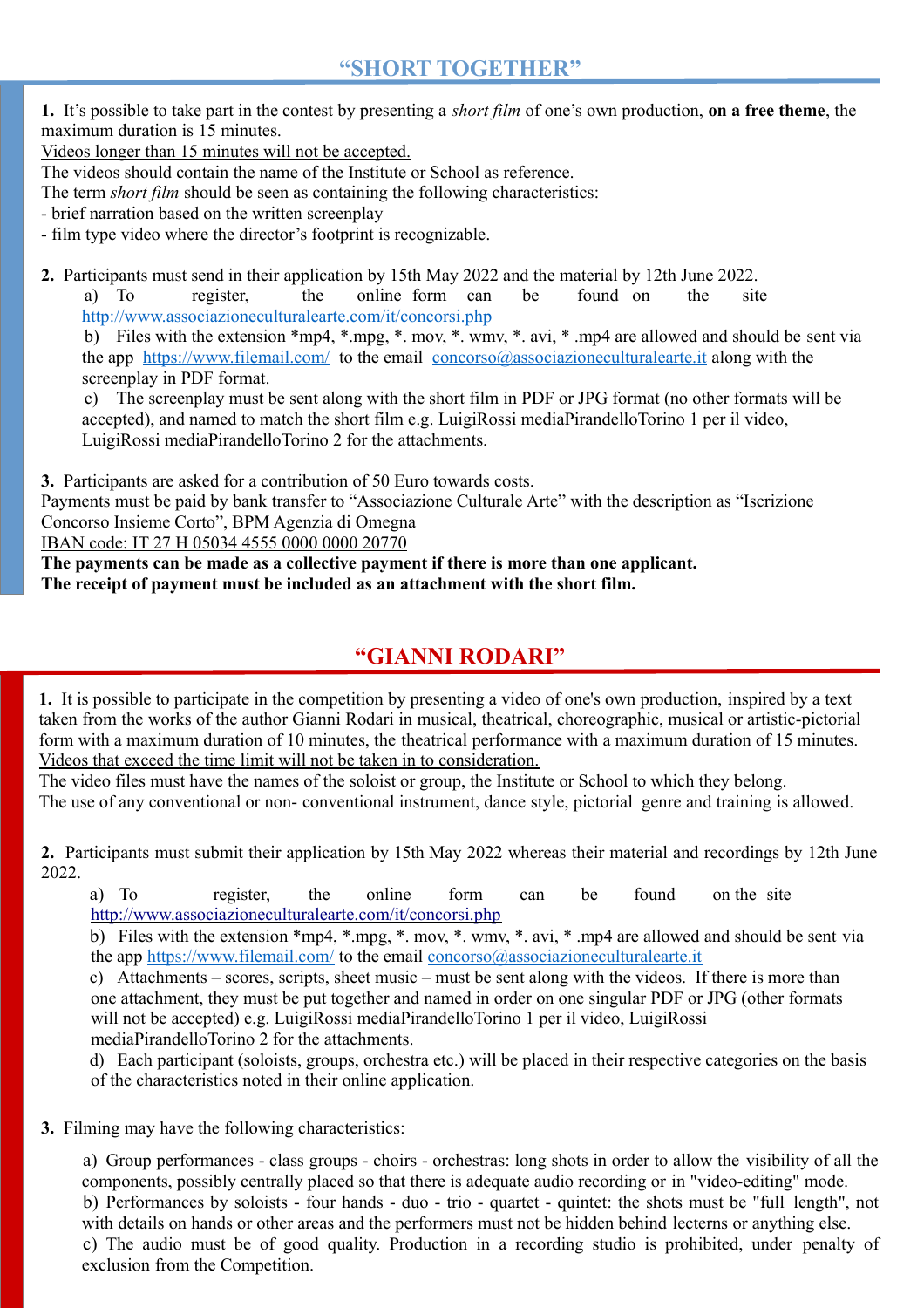**1.** It's possible to take part in the contest by presenting a *short film* of one's own production, **on a free theme**, the maximum duration is 15 minutes.

Videos longer than 15 minutes will not be accepted.

The videos should contain the name of the Institute or School as reference.

The term *short film* should be seen as containing the following characteristics:

- brief narration based on the written screenplay

- film type video where the director's footprint is recognizable.

**2.** Participants must send in their application by 15th May 2022 and the material by 12th June 2022.

a) To register, the online form can be found on the site <http://www.associazioneculturalearte.com/it/concorsi.php>

b) Files with the extension \*mp4, \*.mpg, \*. mov, \*. wmv, \*. avi, \* .mp4 are allowed and should be sent via the app <https://www.filemail.com/>to the email [concorso@associazioneculturalearte.it](mailto:concorso@associazioneculturalearte.it) along with the screenplay in PDF format.

c) The screenplay must be sent along with the short film in PDF or JPG format (no other formats will be accepted), and named to match the short film e.g. LuigiRossi mediaPirandelloTorino 1 per il video, LuigiRossi mediaPirandelloTorino 2 for the attachments.

**3.** Participants are asked for a contribution of 50 Euro towards costs.

Payments must be paid by bank transfer to "Associazione Culturale Arte" with the description as "Iscrizione Concorso Insieme Corto", BPM Agenzia di Omegna

IBAN code: IT 27 H 05034 4555 0000 0000 20770

**The payments can be made as a collective payment if there is more than one applicant. The receipt of payment must be included as an attachment with the short film.**

### **"GIANNI RODARI"**

**1.** It is possible to participate in the competition by presenting a video of one's own production, inspired by a text taken from the works of the author Gianni Rodari in musical, theatrical, choreographic, musical or artistic-pictorial form with a maximum duration of 10 minutes, the theatrical performance with a maximum duration of 15 minutes. Videos that exceed the time limit will not be taken in to consideration.

The video files must have the names of the soloist or group, the Institute or School to which they belong. The use of any conventional or non- conventional instrument, dance style, pictorial genre and training is allowed.

**2.** Participants must submit their application by 15th May 2022 whereas their material and recordings by 12th June 2022.

 a) To register, the online form can be found on the site <http://www.associazioneculturalearte.com/it/concorsi.php>

 b) Files with the extension \*mp4, \*.mpg, \*. mov, \*. wmv, \*. avi, \* .mp4 are allowed and should be sent via the app<https://www.filemail.com/>to the email [concorso@associazioneculturalearte.it](mailto:concorso@associazioneculturalearte.it)

 c) Attachments – scores, scripts, sheet music – must be sent along with the videos. If there is more than one attachment, they must be put together and named in order on one singular PDF or JPG (other formats will not be accepted) e.g. LuigiRossi mediaPirandelloTorino 1 per il video, LuigiRossi mediaPirandelloTorino 2 for the attachments.

 d) Each participant (soloists, groups, orchestra etc.) will be placed in their respective categories on the basis of the characteristics noted in their online application.

**3.** Filming may have the following characteristics:

a) Group performances - class groups - choirs - orchestras: long shots in order to allow the visibility of all the components, possibly centrally placed so that there is adequate audio recording or in "video-editing" mode. b) Performances by soloists - four hands - duo - trio - quartet - quintet: the shots must be "full length", not with details on hands or other areas and the performers must not be hidden behind lecterns or anything else. c) The audio must be of good quality. Production in a recording studio is prohibited, under penalty of exclusion from the Competition.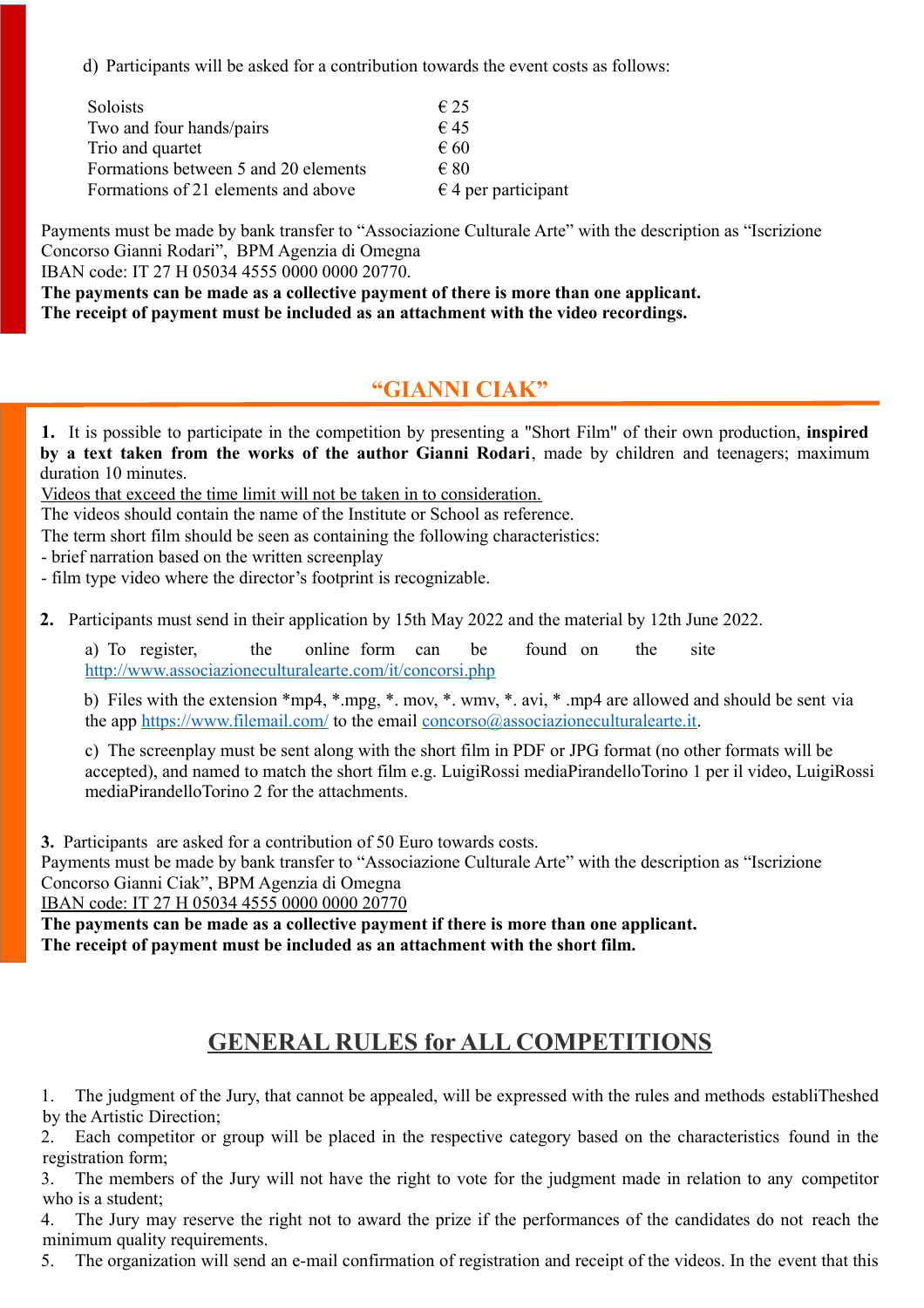d) Participants will be asked for a contribution towards the event costs as follows:

| Soloists                             | $\epsilon$ 25                |
|--------------------------------------|------------------------------|
| Two and four hands/pairs             | $\epsilon$ 45                |
| Trio and quartet                     | $\epsilon$ 60                |
| Formations between 5 and 20 elements | $\epsilon$ 80                |
| Formations of 21 elements and above  | $\epsilon$ 4 per participant |

Payments must be made by bank transfer to "Associazione Culturale Arte" with the description as "Iscrizione Concorso Gianni Rodari", BPM Agenzia di Omegna

IBAN code: IT 27 H 05034 4555 0000 0000 20770.

**The payments can be made as a collective payment of there is more than one applicant. The receipt of payment must be included as an attachment with the video recordings.**

#### **"GIANNI CIAK"**

**1.** It is possible to participate in the competition by presenting a "Short Film" of their own production, **inspired by a text taken from the works of the author Gianni Rodari**, made by children and teenagers; maximum duration 10 minutes.

Videos that exceed the time limit will not be taken in to consideration.

The videos should contain the name of the Institute or School as reference.

The term short film should be seen as containing the following characteristics:

- brief narration based on the written screenplay

- film type video where the director's footprint is recognizable.

**2.** Participants must send in their application by 15th May 2022 and the material by 12th June 2022.

a) To register, the online form can be found on the site <http://www.associazioneculturalearte.com/it/concorsi.php>

b) Files with the extension \*mp4, \*.mpg, \*. mov, \*. wmv, \*. avi, \* .mp4 are allowed and should be sent via the app<https://www.filemail.com/>to the email [concorso@associazioneculturalearte.it.](mailto:concorso@associazioneculturalearte.it)

c) The screenplay must be sent along with the short film in PDF or JPG format (no other formats will be accepted), and named to match the short film e.g. LuigiRossi mediaPirandelloTorino 1 per il video, LuigiRossi mediaPirandelloTorino 2 for the attachments.

**3.** Participants are asked for a contribution of 50 Euro towards costs.

Payments must be made by bank transfer to "Associazione Culturale Arte" with the description as "Iscrizione Concorso Gianni Ciak", BPM Agenzia di Omegna

IBAN code: IT 27 H 05034 4555 0000 0000 20770

**The payments can be made as a collective payment if there is more than one applicant. The receipt of payment must be included as an attachment with the short film.**

### **GENERAL RULES for ALL COMPETITIONS**

1. The judgment of the Jury, that cannot be appealed, will be expressed with the rules and methods establiTheshed by the Artistic Direction;

2. Each competitor or group will be placed in the respective category based on the characteristics found in the registration form;

3. The members of the Jury will not have the right to vote for the judgment made in relation to any competitor who is a student;

4. The Jury may reserve the right not to award the prize if the performances of the candidates do not reach the minimum quality requirements.

5. The organization will send an e-mail confirmation of registration and receipt of the videos. In the event that this